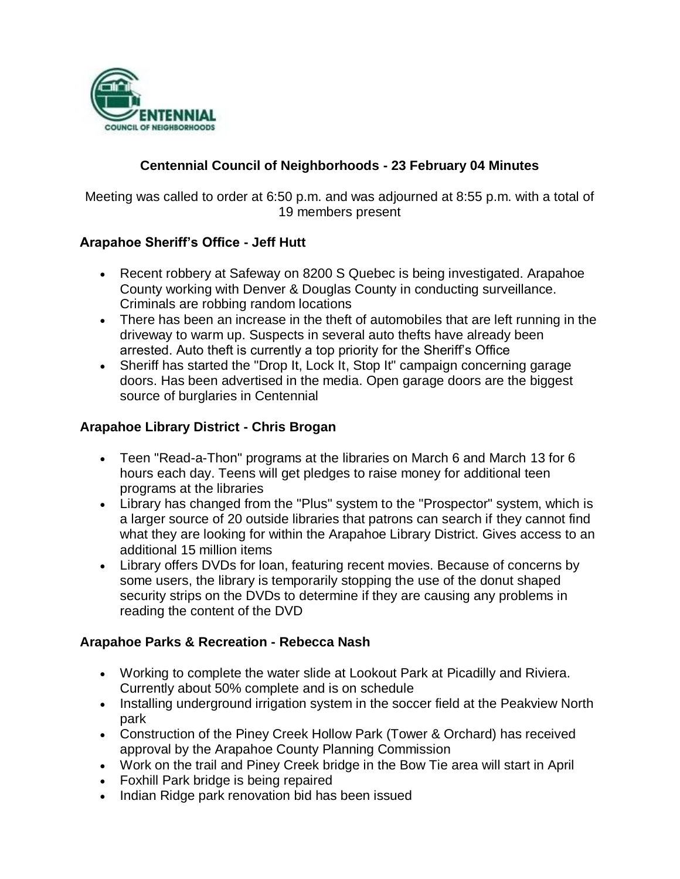

# **Centennial Council of Neighborhoods - 23 February 04 Minutes**

Meeting was called to order at 6:50 p.m. and was adjourned at 8:55 p.m. with a total of 19 members present

#### **Arapahoe Sheriff's Office - Jeff Hutt**

- Recent robbery at Safeway on 8200 S Quebec is being investigated. Arapahoe County working with Denver & Douglas County in conducting surveillance. Criminals are robbing random locations
- There has been an increase in the theft of automobiles that are left running in the driveway to warm up. Suspects in several auto thefts have already been arrested. Auto theft is currently a top priority for the Sheriff's Office
- Sheriff has started the "Drop It, Lock It, Stop It" campaign concerning garage doors. Has been advertised in the media. Open garage doors are the biggest source of burglaries in Centennial

#### **Arapahoe Library District - Chris Brogan**

- Teen "Read-a-Thon" programs at the libraries on March 6 and March 13 for 6 hours each day. Teens will get pledges to raise money for additional teen programs at the libraries
- Library has changed from the "Plus" system to the "Prospector" system, which is a larger source of 20 outside libraries that patrons can search if they cannot find what they are looking for within the Arapahoe Library District. Gives access to an additional 15 million items
- Library offers DVDs for loan, featuring recent movies. Because of concerns by some users, the library is temporarily stopping the use of the donut shaped security strips on the DVDs to determine if they are causing any problems in reading the content of the DVD

#### **Arapahoe Parks & Recreation - Rebecca Nash**

- Working to complete the water slide at Lookout Park at Picadilly and Riviera. Currently about 50% complete and is on schedule
- Installing underground irrigation system in the soccer field at the Peakview North park
- Construction of the Piney Creek Hollow Park (Tower & Orchard) has received approval by the Arapahoe County Planning Commission
- Work on the trail and Piney Creek bridge in the Bow Tie area will start in April
- Foxhill Park bridge is being repaired
- Indian Ridge park renovation bid has been issued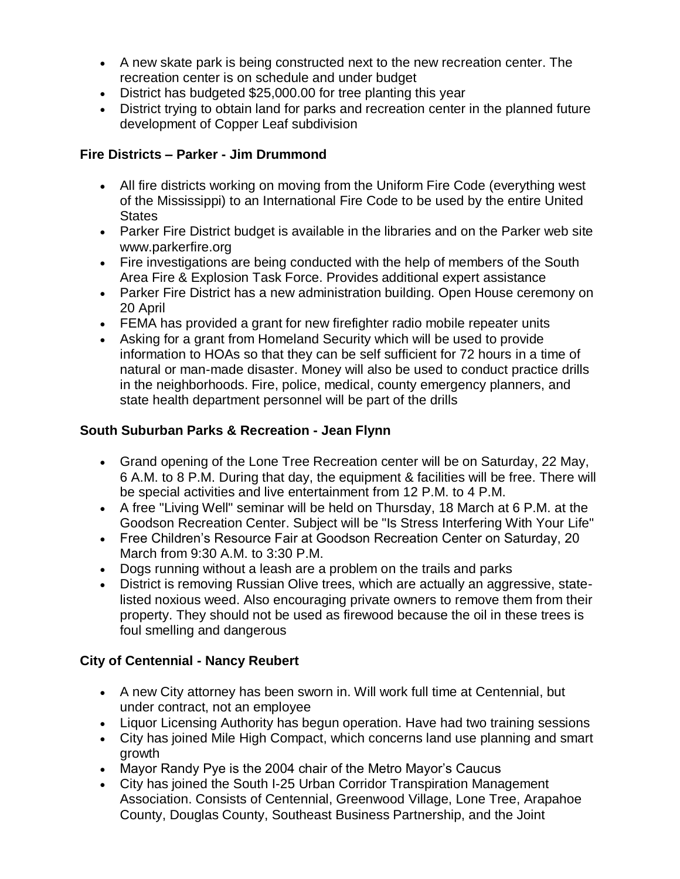- A new skate park is being constructed next to the new recreation center. The recreation center is on schedule and under budget
- District has budgeted \$25,000.00 for tree planting this year
- District trying to obtain land for parks and recreation center in the planned future development of Copper Leaf subdivision

# **Fire Districts – Parker - Jim Drummond**

- All fire districts working on moving from the Uniform Fire Code (everything west of the Mississippi) to an International Fire Code to be used by the entire United **States**
- Parker Fire District budget is available in the libraries and on the Parker web site www.parkerfire.org
- Fire investigations are being conducted with the help of members of the South Area Fire & Explosion Task Force. Provides additional expert assistance
- Parker Fire District has a new administration building. Open House ceremony on 20 April
- FEMA has provided a grant for new firefighter radio mobile repeater units
- Asking for a grant from Homeland Security which will be used to provide information to HOAs so that they can be self sufficient for 72 hours in a time of natural or man-made disaster. Money will also be used to conduct practice drills in the neighborhoods. Fire, police, medical, county emergency planners, and state health department personnel will be part of the drills

# **South Suburban Parks & Recreation - Jean Flynn**

- Grand opening of the Lone Tree Recreation center will be on Saturday, 22 May, 6 A.M. to 8 P.M. During that day, the equipment & facilities will be free. There will be special activities and live entertainment from 12 P.M. to 4 P.M.
- A free "Living Well" seminar will be held on Thursday, 18 March at 6 P.M. at the Goodson Recreation Center. Subject will be "Is Stress Interfering With Your Life"
- Free Children's Resource Fair at Goodson Recreation Center on Saturday, 20 March from 9:30 A.M. to 3:30 P.M.
- Dogs running without a leash are a problem on the trails and parks
- District is removing Russian Olive trees, which are actually an aggressive, statelisted noxious weed. Also encouraging private owners to remove them from their property. They should not be used as firewood because the oil in these trees is foul smelling and dangerous

## **City of Centennial - Nancy Reubert**

- A new City attorney has been sworn in. Will work full time at Centennial, but under contract, not an employee
- Liquor Licensing Authority has begun operation. Have had two training sessions
- City has joined Mile High Compact, which concerns land use planning and smart growth
- Mayor Randy Pye is the 2004 chair of the Metro Mayor's Caucus
- City has joined the South I-25 Urban Corridor Transpiration Management Association. Consists of Centennial, Greenwood Village, Lone Tree, Arapahoe County, Douglas County, Southeast Business Partnership, and the Joint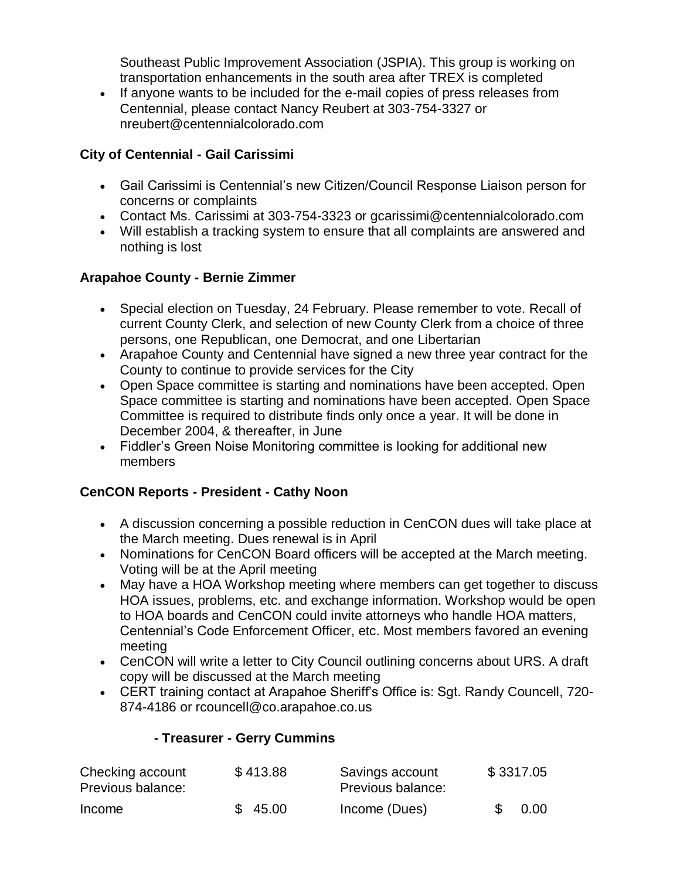Southeast Public Improvement Association (JSPIA). This group is working on transportation enhancements in the south area after TREX is completed

 If anyone wants to be included for the e-mail copies of press releases from Centennial, please contact Nancy Reubert at 303-754-3327 or nreubert@centennialcolorado.com

### **City of Centennial - Gail Carissimi**

- Gail Carissimi is Centennial's new Citizen/Council Response Liaison person for concerns or complaints
- Contact Ms. Carissimi at 303-754-3323 or gcarissimi@centennialcolorado.com
- Will establish a tracking system to ensure that all complaints are answered and nothing is lost

# **Arapahoe County - Bernie Zimmer**

- Special election on Tuesday, 24 February. Please remember to vote. Recall of current County Clerk, and selection of new County Clerk from a choice of three persons, one Republican, one Democrat, and one Libertarian
- Arapahoe County and Centennial have signed a new three year contract for the County to continue to provide services for the City
- Open Space committee is starting and nominations have been accepted. Open Space committee is starting and nominations have been accepted. Open Space Committee is required to distribute finds only once a year. It will be done in December 2004, & thereafter, in June
- Fiddler's Green Noise Monitoring committee is looking for additional new members

## **CenCON Reports - President - Cathy Noon**

- A discussion concerning a possible reduction in CenCON dues will take place at the March meeting. Dues renewal is in April
- Nominations for CenCON Board officers will be accepted at the March meeting. Voting will be at the April meeting
- May have a HOA Workshop meeting where members can get together to discuss HOA issues, problems, etc. and exchange information. Workshop would be open to HOA boards and CenCON could invite attorneys who handle HOA matters, Centennial's Code Enforcement Officer, etc. Most members favored an evening meeting
- CenCON will write a letter to City Council outlining concerns about URS. A draft copy will be discussed at the March meeting
- CERT training contact at Arapahoe Sheriff's Office is: Sgt. Randy Councell, 720- 874-4186 or rcouncell@co.arapahoe.co.us

## **- Treasurer - Gerry Cummins**

| Checking account<br>Previous balance: | \$413.88 | Savings account<br>Previous balance: | \$3317.05 |      |
|---------------------------------------|----------|--------------------------------------|-----------|------|
| Income                                | \$45.00  | Income (Dues)                        |           | 0.00 |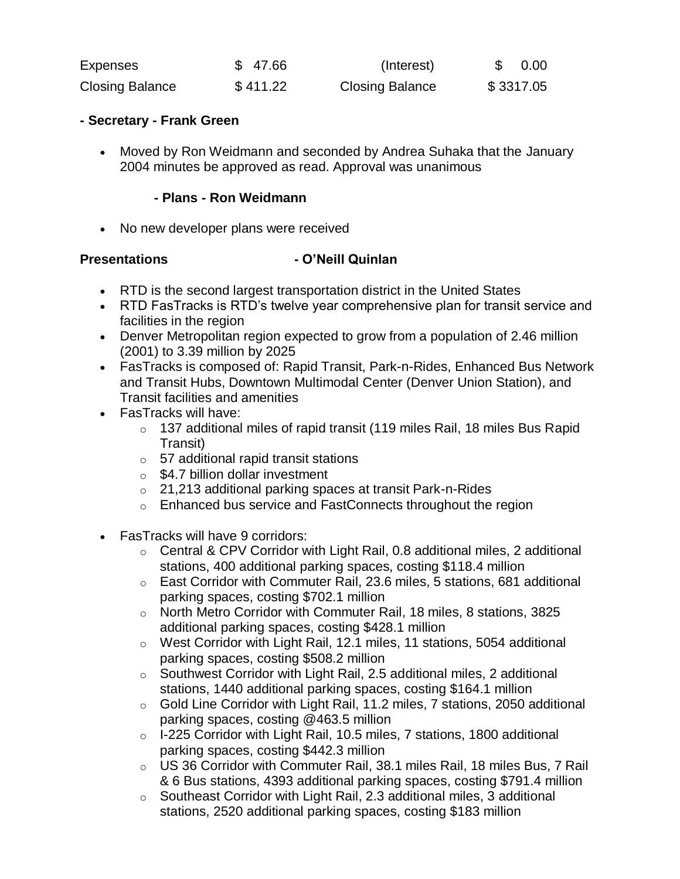| Expenses               | \$47.66  | (Interest)             | 0.00      |
|------------------------|----------|------------------------|-----------|
| <b>Closing Balance</b> | \$411.22 | <b>Closing Balance</b> | \$3317.05 |

#### **- Secretary - Frank Green**

 Moved by Ron Weidmann and seconded by Andrea Suhaka that the January 2004 minutes be approved as read. Approval was unanimous

#### **- Plans - Ron Weidmann**

• No new developer plans were received

#### **Presentations - O'Neill Quinlan**

- RTD is the second largest transportation district in the United States
- RTD FasTracks is RTD's twelve year comprehensive plan for transit service and facilities in the region
- Denver Metropolitan region expected to grow from a population of 2.46 million (2001) to 3.39 million by 2025
- FasTracks is composed of: Rapid Transit, Park-n-Rides, Enhanced Bus Network and Transit Hubs, Downtown Multimodal Center (Denver Union Station), and Transit facilities and amenities
- FasTracks will have:
	- $\circ$  137 additional miles of rapid transit (119 miles Rail, 18 miles Bus Rapid Transit)
	- o 57 additional rapid transit stations
	- $\circ$  \$4.7 billion dollar investment
	- o 21,213 additional parking spaces at transit Park-n-Rides
	- o Enhanced bus service and FastConnects throughout the region
- FasTracks will have 9 corridors:
	- o Central & CPV Corridor with Light Rail, 0.8 additional miles, 2 additional stations, 400 additional parking spaces, costing \$118.4 million
	- o East Corridor with Commuter Rail, 23.6 miles, 5 stations, 681 additional parking spaces, costing \$702.1 million
	- o North Metro Corridor with Commuter Rail, 18 miles, 8 stations, 3825 additional parking spaces, costing \$428.1 million
	- o West Corridor with Light Rail, 12.1 miles, 11 stations, 5054 additional parking spaces, costing \$508.2 million
	- o Southwest Corridor with Light Rail, 2.5 additional miles, 2 additional stations, 1440 additional parking spaces, costing \$164.1 million
	- o Gold Line Corridor with Light Rail, 11.2 miles, 7 stations, 2050 additional parking spaces, costing @463.5 million
	- o I-225 Corridor with Light Rail, 10.5 miles, 7 stations, 1800 additional parking spaces, costing \$442.3 million
	- o US 36 Corridor with Commuter Rail, 38.1 miles Rail, 18 miles Bus, 7 Rail & 6 Bus stations, 4393 additional parking spaces, costing \$791.4 million
	- o Southeast Corridor with Light Rail, 2.3 additional miles, 3 additional stations, 2520 additional parking spaces, costing \$183 million